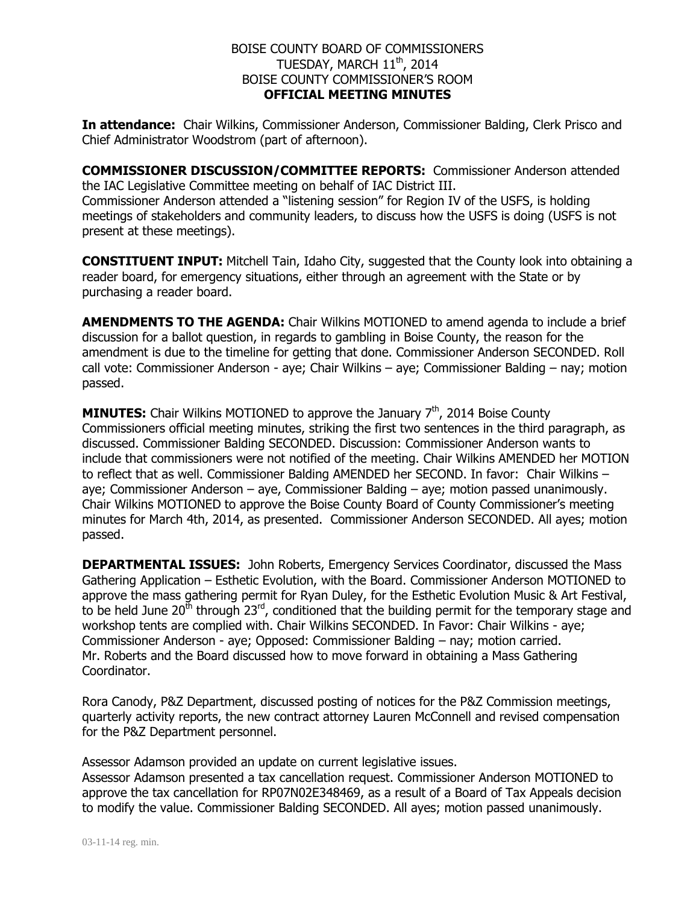## BOISE COUNTY BOARD OF COMMISSIONERS TUESDAY, MARCH  $11^\mathrm{th}$ , 2014 BOISE COUNTY COMMISSIONER'S ROOM **OFFICIAL MEETING MINUTES**

**In attendance:** Chair Wilkins, Commissioner Anderson, Commissioner Balding, Clerk Prisco and Chief Administrator Woodstrom (part of afternoon).

**COMMISSIONER DISCUSSION/COMMITTEE REPORTS:** Commissioner Anderson attended the IAC Legislative Committee meeting on behalf of IAC District III. Commissioner Anderson attended a "listening session" for Region IV of the USFS, is holding meetings of stakeholders and community leaders, to discuss how the USFS is doing (USFS is not present at these meetings).

**CONSTITUENT INPUT:** Mitchell Tain, Idaho City, suggested that the County look into obtaining a reader board, for emergency situations, either through an agreement with the State or by purchasing a reader board.

**AMENDMENTS TO THE AGENDA:** Chair Wilkins MOTIONED to amend agenda to include a brief discussion for a ballot question, in regards to gambling in Boise County, the reason for the amendment is due to the timeline for getting that done. Commissioner Anderson SECONDED. Roll call vote: Commissioner Anderson - aye; Chair Wilkins – aye; Commissioner Balding – nay; motion passed.

**MINUTES:** Chair Wilkins MOTIONED to approve the January 7<sup>th</sup>, 2014 Boise County Commissioners official meeting minutes, striking the first two sentences in the third paragraph, as discussed. Commissioner Balding SECONDED. Discussion: Commissioner Anderson wants to include that commissioners were not notified of the meeting. Chair Wilkins AMENDED her MOTION to reflect that as well. Commissioner Balding AMENDED her SECOND. In favor: Chair Wilkins – aye; Commissioner Anderson – aye, Commissioner Balding – aye; motion passed unanimously. Chair Wilkins MOTIONED to approve the Boise County Board of County Commissioner's meeting minutes for March 4th, 2014, as presented. Commissioner Anderson SECONDED. All ayes; motion passed.

**DEPARTMENTAL ISSUES:** John Roberts, Emergency Services Coordinator, discussed the Mass Gathering Application – Esthetic Evolution, with the Board. Commissioner Anderson MOTIONED to approve the mass gathering permit for Ryan Duley, for the Esthetic Evolution Music & Art Festival, to be held June  $20<sup>th</sup>$  through  $23<sup>rd</sup>$ , conditioned that the building permit for the temporary stage and workshop tents are complied with. Chair Wilkins SECONDED. In Favor: Chair Wilkins - aye; Commissioner Anderson - aye; Opposed: Commissioner Balding – nay; motion carried. Mr. Roberts and the Board discussed how to move forward in obtaining a Mass Gathering Coordinator.

Rora Canody, P&Z Department, discussed posting of notices for the P&Z Commission meetings, quarterly activity reports, the new contract attorney Lauren McConnell and revised compensation for the P&Z Department personnel.

Assessor Adamson provided an update on current legislative issues. Assessor Adamson presented a tax cancellation request. Commissioner Anderson MOTIONED to approve the tax cancellation for RP07N02E348469, as a result of a Board of Tax Appeals decision to modify the value. Commissioner Balding SECONDED. All ayes; motion passed unanimously.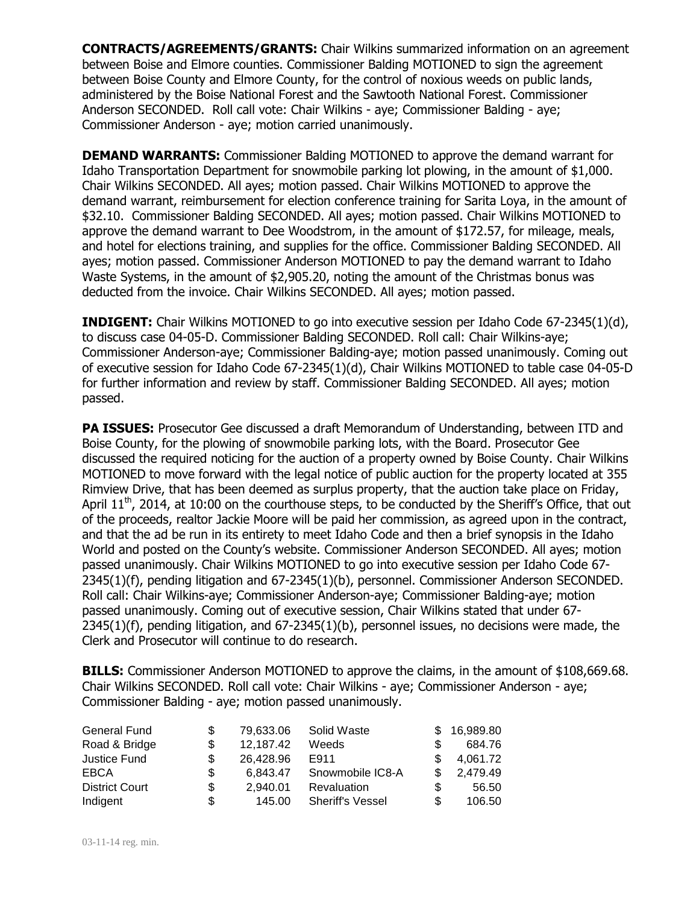**CONTRACTS/AGREEMENTS/GRANTS:** Chair Wilkins summarized information on an agreement between Boise and Elmore counties. Commissioner Balding MOTIONED to sign the agreement between Boise County and Elmore County, for the control of noxious weeds on public lands, administered by the Boise National Forest and the Sawtooth National Forest. Commissioner Anderson SECONDED. Roll call vote: Chair Wilkins - aye; Commissioner Balding - aye; Commissioner Anderson - aye; motion carried unanimously.

**DEMAND WARRANTS:** Commissioner Balding MOTIONED to approve the demand warrant for Idaho Transportation Department for snowmobile parking lot plowing, in the amount of \$1,000. Chair Wilkins SECONDED. All ayes; motion passed. Chair Wilkins MOTIONED to approve the demand warrant, reimbursement for election conference training for Sarita Loya, in the amount of \$32.10. Commissioner Balding SECONDED. All ayes; motion passed. Chair Wilkins MOTIONED to approve the demand warrant to Dee Woodstrom, in the amount of \$172.57, for mileage, meals, and hotel for elections training, and supplies for the office. Commissioner Balding SECONDED. All ayes; motion passed. Commissioner Anderson MOTIONED to pay the demand warrant to Idaho Waste Systems, in the amount of \$2,905.20, noting the amount of the Christmas bonus was deducted from the invoice. Chair Wilkins SECONDED. All ayes; motion passed.

**INDIGENT:** Chair Wilkins MOTIONED to go into executive session per Idaho Code 67-2345(1)(d), to discuss case 04-05-D. Commissioner Balding SECONDED. Roll call: Chair Wilkins-aye; Commissioner Anderson-aye; Commissioner Balding-aye; motion passed unanimously. Coming out of executive session for Idaho Code 67-2345(1)(d), Chair Wilkins MOTIONED to table case 04-05-D for further information and review by staff. Commissioner Balding SECONDED. All ayes; motion passed.

**PA ISSUES:** Prosecutor Gee discussed a draft Memorandum of Understanding, between ITD and Boise County, for the plowing of snowmobile parking lots, with the Board. Prosecutor Gee discussed the required noticing for the auction of a property owned by Boise County. Chair Wilkins MOTIONED to move forward with the legal notice of public auction for the property located at 355 Rimview Drive, that has been deemed as surplus property, that the auction take place on Friday, April 11<sup>th</sup>, 2014, at 10:00 on the courthouse steps, to be conducted by the Sheriff's Office, that out of the proceeds, realtor Jackie Moore will be paid her commission, as agreed upon in the contract, and that the ad be run in its entirety to meet Idaho Code and then a brief synopsis in the Idaho World and posted on the County's website. Commissioner Anderson SECONDED. All ayes; motion passed unanimously. Chair Wilkins MOTIONED to go into executive session per Idaho Code 67- 2345(1)(f), pending litigation and 67-2345(1)(b), personnel. Commissioner Anderson SECONDED. Roll call: Chair Wilkins-aye; Commissioner Anderson-aye; Commissioner Balding-aye; motion passed unanimously. Coming out of executive session, Chair Wilkins stated that under 67- 2345(1)(f), pending litigation, and 67-2345(1)(b), personnel issues, no decisions were made, the Clerk and Prosecutor will continue to do research.

**BILLS:** Commissioner Anderson MOTIONED to approve the claims, in the amount of \$108,669.68. Chair Wilkins SECONDED. Roll call vote: Chair Wilkins - aye; Commissioner Anderson - aye; Commissioner Balding - aye; motion passed unanimously.

| General Fund          |     | 79.633.06 | Solid Waste             |   | 16,989.80 |
|-----------------------|-----|-----------|-------------------------|---|-----------|
| Road & Bridge         | \$  | 12,187.42 | Weeds                   |   | 684.76    |
| Justice Fund          | S   | 26.428.96 | E911                    |   | 4.061.72  |
| <b>EBCA</b>           | \$. | 6.843.47  | Snowmobile IC8-A        |   | 2,479.49  |
| <b>District Court</b> | \$  | 2.940.01  | Revaluation             | S | 56.50     |
| Indigent              | S   | 145.00    | <b>Sheriff's Vessel</b> | S | 106.50    |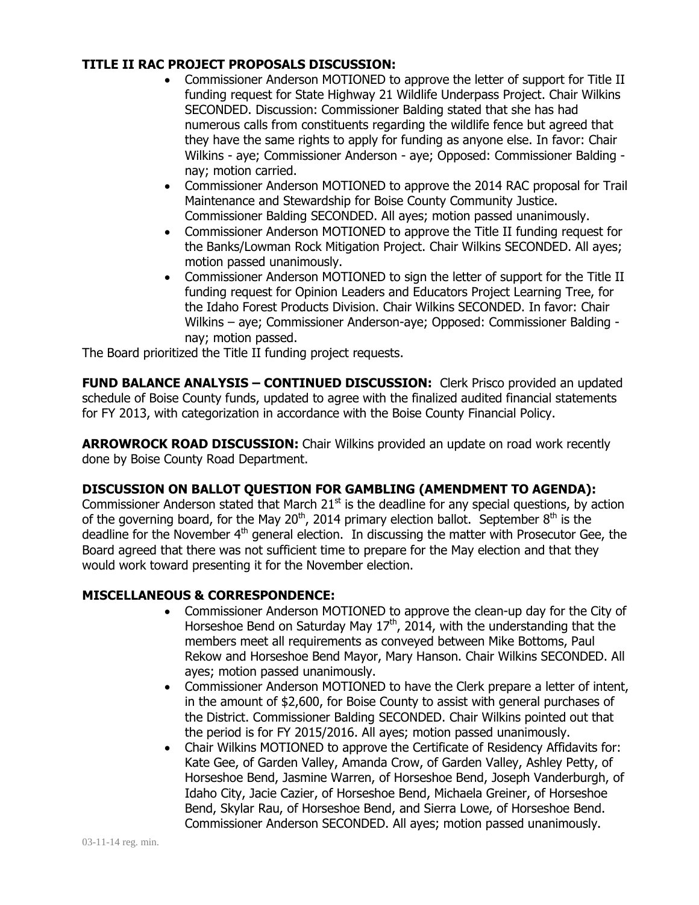## **TITLE II RAC PROJECT PROPOSALS DISCUSSION:**

- Commissioner Anderson MOTIONED to approve the letter of support for Title II funding request for State Highway 21 Wildlife Underpass Project. Chair Wilkins SECONDED. Discussion: Commissioner Balding stated that she has had numerous calls from constituents regarding the wildlife fence but agreed that they have the same rights to apply for funding as anyone else. In favor: Chair Wilkins - aye; Commissioner Anderson - aye; Opposed: Commissioner Balding nay; motion carried.
- Commissioner Anderson MOTIONED to approve the 2014 RAC proposal for Trail Maintenance and Stewardship for Boise County Community Justice. Commissioner Balding SECONDED. All ayes; motion passed unanimously.
- Commissioner Anderson MOTIONED to approve the Title II funding request for the Banks/Lowman Rock Mitigation Project. Chair Wilkins SECONDED. All ayes; motion passed unanimously.
- Commissioner Anderson MOTIONED to sign the letter of support for the Title II funding request for Opinion Leaders and Educators Project Learning Tree, for the Idaho Forest Products Division. Chair Wilkins SECONDED. In favor: Chair Wilkins – aye; Commissioner Anderson-aye; Opposed: Commissioner Balding nay; motion passed.

The Board prioritized the Title II funding project requests.

**FUND BALANCE ANALYSIS – CONTINUED DISCUSSION:** Clerk Prisco provided an updated schedule of Boise County funds, updated to agree with the finalized audited financial statements for FY 2013, with categorization in accordance with the Boise County Financial Policy.

**ARROWROCK ROAD DISCUSSION:** Chair Wilkins provided an update on road work recently done by Boise County Road Department.

## **DISCUSSION ON BALLOT QUESTION FOR GAMBLING (AMENDMENT TO AGENDA):**

Commissioner Anderson stated that March  $21<sup>st</sup>$  is the deadline for any special questions, by action of the governing board, for the May 20<sup>th</sup>, 2014 primary election ballot. September  $8<sup>th</sup>$  is the deadline for the November  $4<sup>th</sup>$  general election. In discussing the matter with Prosecutor Gee, the Board agreed that there was not sufficient time to prepare for the May election and that they would work toward presenting it for the November election.

## **MISCELLANEOUS & CORRESPONDENCE:**

- Commissioner Anderson MOTIONED to approve the clean-up day for the City of Horseshoe Bend on Saturday May 17<sup>th</sup>, 2014, with the understanding that the members meet all requirements as conveyed between Mike Bottoms, Paul Rekow and Horseshoe Bend Mayor, Mary Hanson. Chair Wilkins SECONDED. All ayes; motion passed unanimously.
- Commissioner Anderson MOTIONED to have the Clerk prepare a letter of intent, in the amount of \$2,600, for Boise County to assist with general purchases of the District. Commissioner Balding SECONDED. Chair Wilkins pointed out that the period is for FY 2015/2016. All ayes; motion passed unanimously.
- Chair Wilkins MOTIONED to approve the Certificate of Residency Affidavits for: Kate Gee, of Garden Valley, Amanda Crow, of Garden Valley, Ashley Petty, of Horseshoe Bend, Jasmine Warren, of Horseshoe Bend, Joseph Vanderburgh, of Idaho City, Jacie Cazier, of Horseshoe Bend, Michaela Greiner, of Horseshoe Bend, Skylar Rau, of Horseshoe Bend, and Sierra Lowe, of Horseshoe Bend. Commissioner Anderson SECONDED. All ayes; motion passed unanimously.